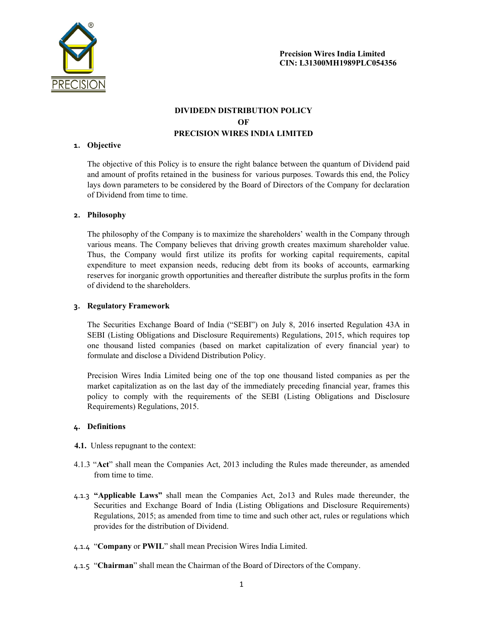

# DIVIDEDN DISTRIBUTION POLICY OF PRECISION WIRES INDIA LIMITED

#### 1. Objective

The objective of this Policy is to ensure the right balance between the quantum of Dividend paid and amount of profits retained in the business for various purposes. Towards this end, the Policy lays down parameters to be considered by the Board of Directors of the Company for declaration of Dividend from time to time.

#### 2. Philosophy

The philosophy of the Company is to maximize the shareholders' wealth in the Company through various means. The Company believes that driving growth creates maximum shareholder value. Thus, the Company would first utilize its profits for working capital requirements, capital expenditure to meet expansion needs, reducing debt from its books of accounts, earmarking reserves for inorganic growth opportunities and thereafter distribute the surplus profits in the form of dividend to the shareholders.

#### 3. Regulatory Framework

The Securities Exchange Board of India ("SEBI") on July 8, 2016 inserted Regulation 43A in SEBI (Listing Obligations and Disclosure Requirements) Regulations, 2015, which requires top one thousand listed companies (based on market capitalization of every financial year) to formulate and disclose a Dividend Distribution Policy.

Precision Wires India Limited being one of the top one thousand listed companies as per the market capitalization as on the last day of the immediately preceding financial year, frames this policy to comply with the requirements of the SEBI (Listing Obligations and Disclosure Requirements) Regulations, 2015.

#### 4. Definitions

- 4.1. Unless repugnant to the context:
- 4.1.3 "Act" shall mean the Companies Act, 2013 including the Rules made thereunder, as amended from time to time.
- 4.1.3 "Applicable Laws" shall mean the Companies Act, 2o13 and Rules made thereunder, the Securities and Exchange Board of India (Listing Obligations and Disclosure Requirements) Regulations, 2015; as amended from time to time and such other act, rules or regulations which provides for the distribution of Dividend.
- 4.1.4 "Company or PWIL" shall mean Precision Wires India Limited.
- 4.1.5 "Chairman" shall mean the Chairman of the Board of Directors of the Company.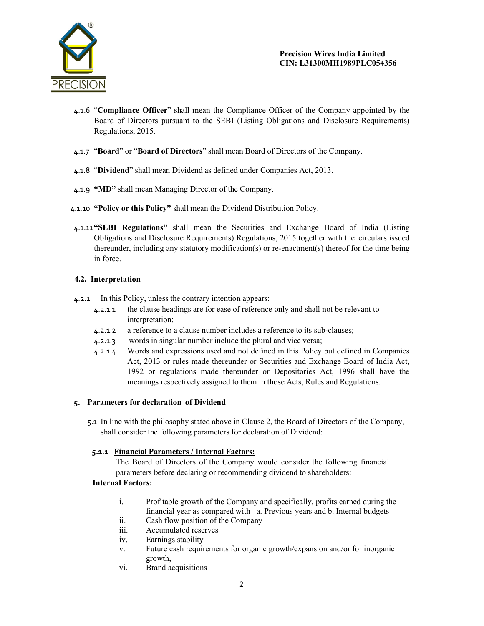

- 4.1.6 "Compliance Officer" shall mean the Compliance Officer of the Company appointed by the Board of Directors pursuant to the SEBI (Listing Obligations and Disclosure Requirements) Regulations, 2015.
- 4.1.7 "Board" or "Board of Directors" shall mean Board of Directors of the Company.
- 4.1.8 "Dividend" shall mean Dividend as defined under Companies Act, 2013.
- 4.1.9 "MD" shall mean Managing Director of the Company.
- 4.1.10 "Policy or this Policy" shall mean the Dividend Distribution Policy.
- 4.1.11"SEBI Regulations" shall mean the Securities and Exchange Board of India (Listing Obligations and Disclosure Requirements) Regulations, 2015 together with the circulars issued thereunder, including any statutory modification(s) or re-enactment(s) thereof for the time being in force.

### 4.2. Interpretation

- 4.2.1 In this Policy, unless the contrary intention appears:
	- 4.2.1.1 the clause headings are for ease of reference only and shall not be relevant to interpretation;
	- 4.2.1.2 a reference to a clause number includes a reference to its sub-clauses;
	- 4.2.1.3 words in singular number include the plural and vice versa;
	- 4.2.1.4 Words and expressions used and not defined in this Policy but defined in Companies Act, 2013 or rules made thereunder or Securities and Exchange Board of India Act, 1992 or regulations made thereunder or Depositories Act, 1996 shall have the meanings respectively assigned to them in those Acts, Rules and Regulations.

## 5. Parameters for declaration of Dividend

5.1 In line with the philosophy stated above in Clause 2, the Board of Directors of the Company, shall consider the following parameters for declaration of Dividend:

## 5.1.1 Financial Parameters / Internal Factors:

The Board of Directors of the Company would consider the following financial parameters before declaring or recommending dividend to shareholders:

### Internal Factors:

- i. Profitable growth of the Company and specifically, profits earned during the financial year as compared with a. Previous years and b. Internal budgets
- ii. Cash flow position of the Company
- iii. Accumulated reserves
- iv. Earnings stability
- v. Future cash requirements for organic growth/expansion and/or for inorganic growth,
- vi. Brand acquisitions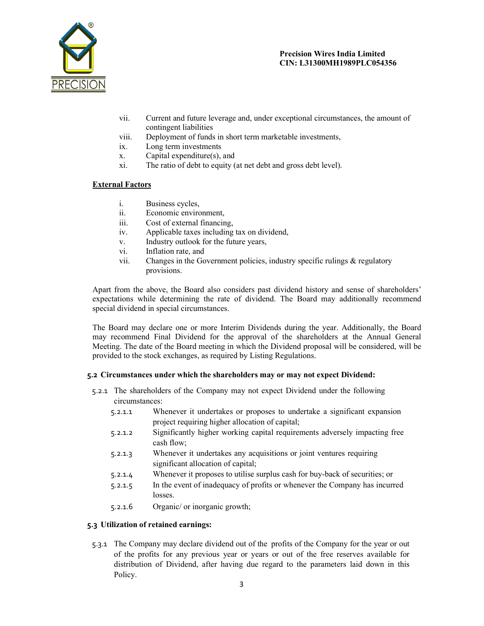

- vii. Current and future leverage and, under exceptional circumstances, the amount of contingent liabilities
- viii. Deployment of funds in short term marketable investments,
- ix. Long term investments
- x. Capital expenditure(s), and
- xi. The ratio of debt to equity (at net debt and gross debt level).

### External Factors

- i. Business cycles,
- ii. Economic environment,
- iii. Cost of external financing,
- iv. Applicable taxes including tax on dividend,
- v. Industry outlook for the future years,
- vi. Inflation rate, and
- vii. Changes in the Government policies, industry specific rulings  $\&$  regulatory provisions.

Apart from the above, the Board also considers past dividend history and sense of shareholders' expectations while determining the rate of dividend. The Board may additionally recommend special dividend in special circumstances.

The Board may declare one or more Interim Dividends during the year. Additionally, the Board may recommend Final Dividend for the approval of the shareholders at the Annual General Meeting. The date of the Board meeting in which the Dividend proposal will be considered, will be provided to the stock exchanges, as required by Listing Regulations.

### 5.2 Circumstances under which the shareholders may or may not expect Dividend:

- 5.2.1 The shareholders of the Company may not expect Dividend under the following circumstances:
	- 5.2.1.1 Whenever it undertakes or proposes to undertake a significant expansion project requiring higher allocation of capital;
	- 5.2.1.2 Significantly higher working capital requirements adversely impacting free cash flow;
	- 5.2.1.3 Whenever it undertakes any acquisitions or joint ventures requiring significant allocation of capital;
	- 5.2.1.4 Whenever it proposes to utilise surplus cash for buy-back of securities; or
	- 5.2.1.5 In the event of inadequacy of profits or whenever the Company has incurred losses.
	- 5.2.1.6 Organic/ or inorganic growth;

### 5.3 Utilization of retained earnings:

5.3.1 The Company may declare dividend out of the profits of the Company for the year or out of the profits for any previous year or years or out of the free reserves available for distribution of Dividend, after having due regard to the parameters laid down in this Policy.